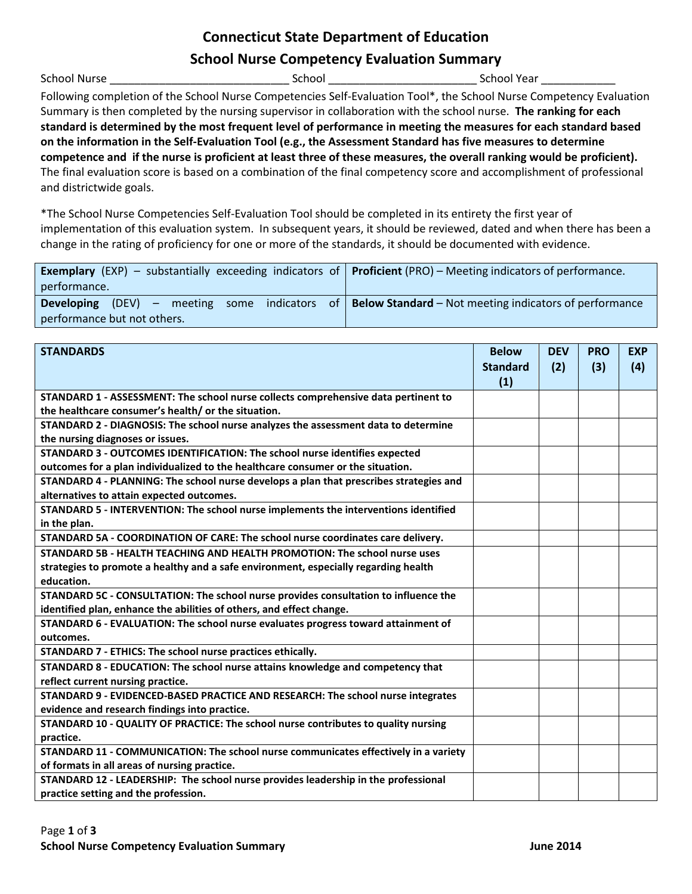# **Connecticut State Department of Education**

# **School Nurse Competency Evaluation Summary**

School Nurse \_\_\_\_\_\_\_\_\_\_\_\_\_\_\_\_\_\_\_\_\_\_\_\_\_\_\_\_\_ School \_\_\_\_\_\_\_\_\_\_\_\_\_\_\_\_\_\_\_\_\_\_\_\_ School Year \_\_\_\_\_\_\_\_\_\_\_\_

Following completion of the School Nurse Competencies Self-Evaluation Tool\*, the School Nurse Competency Evaluation Summary is then completed by the nursing supervisor in collaboration with the school nurse. **The ranking for each standard is determined by the most frequent level of performance in meeting the measures for each standard based on the information in the Self-Evaluation Tool (e.g., the Assessment Standard has five measures to determine competence and if the nurse is proficient at least three of these measures, the overall ranking would be proficient).** The final evaluation score is based on a combination of the final competency score and accomplishment of professional and districtwide goals.

\*The School Nurse Competencies Self-Evaluation Tool should be completed in its entirety the first year of implementation of this evaluation system. In subsequent years, it should be reviewed, dated and when there has been a change in the rating of proficiency for one or more of the standards, it should be documented with evidence.

| <b>Exemplary</b> (EXP) – substantially exceeding indicators of <b>Proficient</b> (PRO) – Meeting indicators of performance. |  |
|-----------------------------------------------------------------------------------------------------------------------------|--|
| performance.                                                                                                                |  |
| <b>Developing</b> (DEV) – meeting some indicators of <b>Below Standard</b> – Not meeting indicators of performance          |  |
| performance but not others.                                                                                                 |  |

| <b>STANDARDS</b>                                                                       | <b>Below</b>    | <b>DEV</b> | <b>PRO</b> | <b>EXP</b> |
|----------------------------------------------------------------------------------------|-----------------|------------|------------|------------|
|                                                                                        | <b>Standard</b> | (2)        | (3)        | (4)        |
|                                                                                        | (1)             |            |            |            |
| STANDARD 1 - ASSESSMENT: The school nurse collects comprehensive data pertinent to     |                 |            |            |            |
| the healthcare consumer's health/ or the situation.                                    |                 |            |            |            |
| STANDARD 2 - DIAGNOSIS: The school nurse analyzes the assessment data to determine     |                 |            |            |            |
| the nursing diagnoses or issues.                                                       |                 |            |            |            |
| STANDARD 3 - OUTCOMES IDENTIFICATION: The school nurse identifies expected             |                 |            |            |            |
| outcomes for a plan individualized to the healthcare consumer or the situation.        |                 |            |            |            |
| STANDARD 4 - PLANNING: The school nurse develops a plan that prescribes strategies and |                 |            |            |            |
| alternatives to attain expected outcomes.                                              |                 |            |            |            |
| STANDARD 5 - INTERVENTION: The school nurse implements the interventions identified    |                 |            |            |            |
| in the plan.                                                                           |                 |            |            |            |
| STANDARD 5A - COORDINATION OF CARE: The school nurse coordinates care delivery.        |                 |            |            |            |
| STANDARD 5B - HEALTH TEACHING AND HEALTH PROMOTION: The school nurse uses              |                 |            |            |            |
| strategies to promote a healthy and a safe environment, especially regarding health    |                 |            |            |            |
| education.                                                                             |                 |            |            |            |
| STANDARD 5C - CONSULTATION: The school nurse provides consultation to influence the    |                 |            |            |            |
| identified plan, enhance the abilities of others, and effect change.                   |                 |            |            |            |
| STANDARD 6 - EVALUATION: The school nurse evaluates progress toward attainment of      |                 |            |            |            |
| outcomes.                                                                              |                 |            |            |            |
| STANDARD 7 - ETHICS: The school nurse practices ethically.                             |                 |            |            |            |
| STANDARD 8 - EDUCATION: The school nurse attains knowledge and competency that         |                 |            |            |            |
| reflect current nursing practice.                                                      |                 |            |            |            |
| STANDARD 9 - EVIDENCED-BASED PRACTICE AND RESEARCH: The school nurse integrates        |                 |            |            |            |
| evidence and research findings into practice.                                          |                 |            |            |            |
| STANDARD 10 - QUALITY OF PRACTICE: The school nurse contributes to quality nursing     |                 |            |            |            |
| practice.                                                                              |                 |            |            |            |
| STANDARD 11 - COMMUNICATION: The school nurse communicates effectively in a variety    |                 |            |            |            |
| of formats in all areas of nursing practice.                                           |                 |            |            |            |
| STANDARD 12 - LEADERSHIP: The school nurse provides leadership in the professional     |                 |            |            |            |
| practice setting and the profession.                                                   |                 |            |            |            |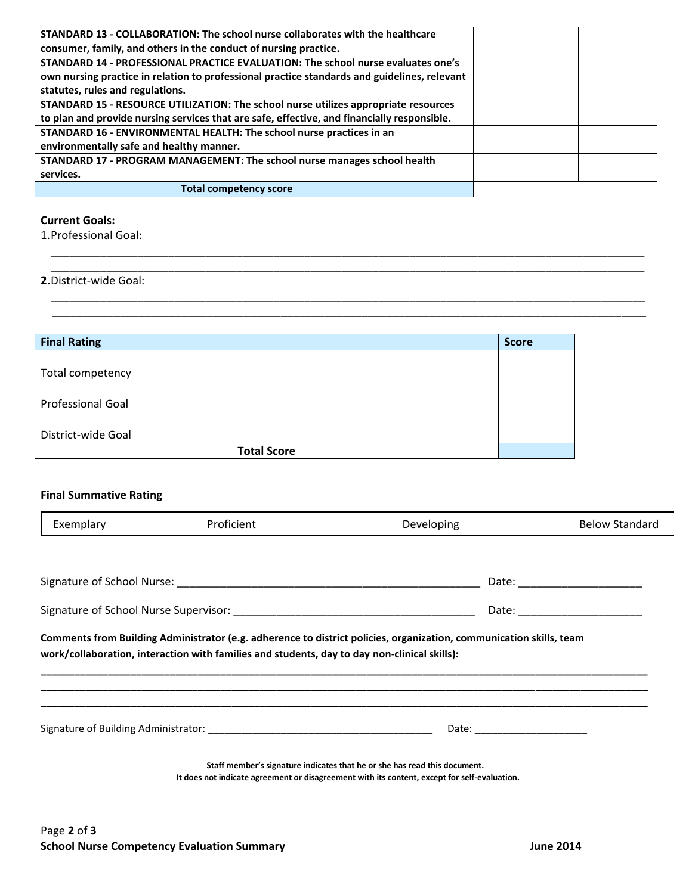| STANDARD 13 - COLLABORATION: The school nurse collaborates with the healthcare               |  |  |  |
|----------------------------------------------------------------------------------------------|--|--|--|
| consumer, family, and others in the conduct of nursing practice.                             |  |  |  |
| STANDARD 14 - PROFESSIONAL PRACTICE EVALUATION: The school nurse evaluates one's             |  |  |  |
| own nursing practice in relation to professional practice standards and guidelines, relevant |  |  |  |
| statutes, rules and regulations.                                                             |  |  |  |
| STANDARD 15 - RESOURCE UTILIZATION: The school nurse utilizes appropriate resources          |  |  |  |
| to plan and provide nursing services that are safe, effective, and financially responsible.  |  |  |  |
| STANDARD 16 - ENVIRONMENTAL HEALTH: The school nurse practices in an                         |  |  |  |
| environmentally safe and healthy manner.                                                     |  |  |  |
| STANDARD 17 - PROGRAM MANAGEMENT: The school nurse manages school health                     |  |  |  |
| services.                                                                                    |  |  |  |
| <b>Total competency score</b>                                                                |  |  |  |

\_\_\_\_\_\_\_\_\_\_\_\_\_\_\_\_\_\_\_\_\_\_\_\_\_\_\_\_\_\_\_\_\_\_\_\_\_\_\_\_\_\_\_\_\_\_\_\_\_\_\_\_\_\_\_\_\_\_\_\_\_\_\_\_\_\_\_\_\_\_\_\_\_\_\_\_\_\_\_\_\_\_\_\_\_\_\_\_\_\_\_\_\_\_\_\_ \_\_\_\_\_\_\_\_\_\_\_\_\_\_\_\_\_\_\_\_\_\_\_\_\_\_\_\_\_\_\_\_\_\_\_\_\_\_\_\_\_\_\_\_\_\_\_\_\_\_\_\_\_\_\_\_\_\_\_\_\_\_\_\_\_\_\_\_\_\_\_\_\_\_\_\_\_\_\_\_\_\_\_\_\_\_\_\_\_\_\_\_\_\_\_\_

\_\_\_\_\_\_\_\_\_\_\_\_\_\_\_\_\_\_\_\_\_\_\_\_\_\_\_\_\_\_\_\_\_\_\_\_\_\_\_\_\_\_\_\_\_\_\_\_\_\_\_\_\_\_\_\_\_\_\_\_\_\_\_\_\_\_\_\_\_\_\_\_\_\_\_\_\_\_\_\_\_\_\_\_\_\_\_\_\_\_\_\_\_\_\_\_ \_\_\_\_\_\_\_\_\_\_\_\_\_\_\_\_\_\_\_\_\_\_\_\_\_\_\_\_\_\_\_\_\_\_\_\_\_\_\_\_\_\_\_\_\_\_\_\_\_\_\_\_\_\_\_\_\_\_\_\_\_\_\_\_\_\_\_\_\_\_\_\_\_\_\_\_\_\_\_\_\_\_\_\_\_\_\_\_\_\_\_\_\_\_\_\_

### **Current Goals:**

1.Professional Goal:

### **2.**District-wide Goal:

| <b>Final Rating</b>      | <b>Score</b> |
|--------------------------|--------------|
|                          |              |
| Total competency         |              |
|                          |              |
| <b>Professional Goal</b> |              |
|                          |              |
| District-wide Goal       |              |
| <b>Total Score</b>       |              |

## **Final Summative Rating**

| Exemplary | Proficient                                                                                   | <b>Developing</b>                                                                                                                                                         | <b>Below Standard</b>          |
|-----------|----------------------------------------------------------------------------------------------|---------------------------------------------------------------------------------------------------------------------------------------------------------------------------|--------------------------------|
|           |                                                                                              |                                                                                                                                                                           |                                |
|           |                                                                                              |                                                                                                                                                                           | Date: ________________________ |
|           |                                                                                              |                                                                                                                                                                           |                                |
|           | work/collaboration, interaction with families and students, day to day non-clinical skills): | Comments from Building Administrator (e.g. adherence to district policies, organization, communication skills, team                                                       |                                |
|           |                                                                                              | Date: _________________________                                                                                                                                           |                                |
|           |                                                                                              | Staff member's signature indicates that he or she has read this document.<br>It does not indicate agreement or disagreement with its content, except for self-evaluation. |                                |